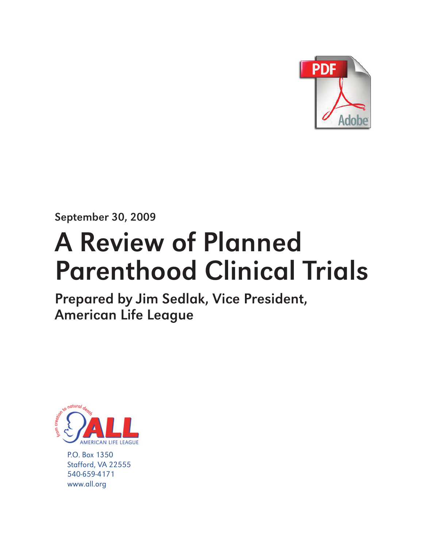

September 30, 2009

# A Review of Planned Parenthood Clinical Trials

Prepared by Jim Sedlak, Vice President, American Life League



P.O. Box 1350 Stafford, VA 22555 540-659-4171 www.all.org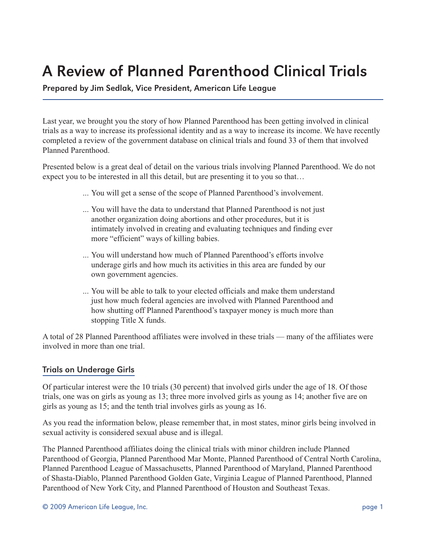# A Review of Planned Parenthood Clinical Trials

Prepared by Jim Sedlak, Vice President, American Life League

Last year, we brought you the story of how Planned Parenthood has been getting involved in clinical trials as a way to increase its professional identity and as a way to increase its income. We have recently completed a review of the government database on clinical trials and found 33 of them that involved Planned Parenthood.

Presented below is a great deal of detail on the various trials involving Planned Parenthood. We do not expect you to be interested in all this detail, but are presenting it to you so that…

- ... You will get a sense of the scope of Planned Parenthood's involvement.
- ... You will have the data to understand that Planned Parenthood is not just another organization doing abortions and other procedures, but it is intimately involved in creating and evaluating techniques and finding ever more "efficient" ways of killing babies.
- ... You will understand how much of Planned Parenthood's efforts involve underage girls and how much its activities in this area are funded by our own government agencies.
- ... You will be able to talk to your elected officials and make them understand just how much federal agencies are involved with Planned Parenthood and how shutting off Planned Parenthood's taxpayer money is much more than stopping Title X funds.

A total of 28 Planned Parenthood affiliates were involved in these trials — many of the affiliates were involved in more than one trial.

## Trials on Underage Girls

Of particular interest were the 10 trials (30 percent) that involved girls under the age of 18. Of those trials, one was on girls as young as 13; three more involved girls as young as 14; another five are on girls as young as 15; and the tenth trial involves girls as young as 16.

As you read the information below, please remember that, in most states, minor girls being involved in sexual activity is considered sexual abuse and is illegal.

The Planned Parenthood affiliates doing the clinical trials with minor children include Planned Parenthood of Georgia, Planned Parenthood Mar Monte, Planned Parenthood of Central North Carolina, Planned Parenthood League of Massachusetts, Planned Parenthood of Maryland, Planned Parenthood of Shasta-Diablo, Planned Parenthood Golden Gate, Virginia League of Planned Parenthood, Planned Parenthood of New York City, and Planned Parenthood of Houston and Southeast Texas.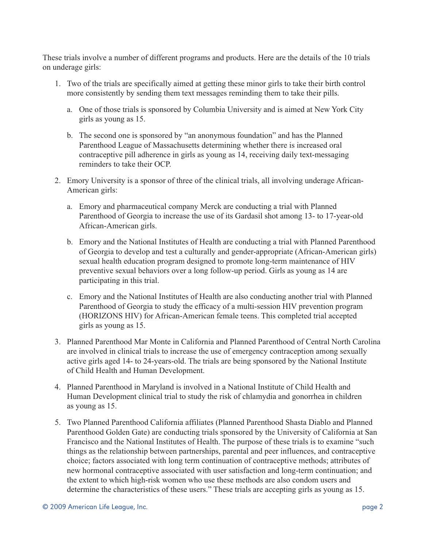These trials involve a number of different programs and products. Here are the details of the 10 trials on underage girls:

- 1. Two of the trials are specifically aimed at getting these minor girls to take their birth control more consistently by sending them text messages reminding them to take their pills.
	- a. One of those trials is sponsored by Columbia University and is aimed at New York City girls as young as 15.
	- b. The second one is sponsored by "an anonymous foundation" and has the Planned Parenthood League of Massachusetts determining whether there is increased oral contraceptive pill adherence in girls as young as 14, receiving daily text-messaging reminders to take their OCP.
- 2. Emory University is a sponsor of three of the clinical trials, all involving underage African-American girls:
	- a. Emory and pharmaceutical company Merck are conducting a trial with Planned Parenthood of Georgia to increase the use of its Gardasil shot among 13- to 17-year-old African-American girls.
	- b. Emory and the National Institutes of Health are conducting a trial with Planned Parenthood of Georgia to develop and test a culturally and gender-appropriate (African-American girls) sexual health education program designed to promote long-term maintenance of HIV preventive sexual behaviors over a long follow-up period. Girls as young as 14 are participating in this trial.
	- c. Emory and the National Institutes of Health are also conducting another trial with Planned Parenthood of Georgia to study the efficacy of a multi-session HIV prevention program (HORIZONS HIV) for African-American female teens. This completed trial accepted girls as young as 15.
- 3. Planned Parenthood Mar Monte in California and Planned Parenthood of Central North Carolina are involved in clinical trials to increase the use of emergency contraception among sexually active girls aged 14- to 24-years-old. The trials are being sponsored by the National Institute of Child Health and Human Development.
- 4. Planned Parenthood in Maryland is involved in a National Institute of Child Health and Human Development clinical trial to study the risk of chlamydia and gonorrhea in children as young as 15.
- 5. Two Planned Parenthood California affiliates (Planned Parenthood Shasta Diablo and Planned Parenthood Golden Gate) are conducting trials sponsored by the University of California at San Francisco and the National Institutes of Health. The purpose of these trials is to examine "such things as the relationship between partnerships, parental and peer influences, and contraceptive choice; factors associated with long term continuation of contraceptive methods; attributes of new hormonal contraceptive associated with user satisfaction and long-term continuation; and the extent to which high-risk women who use these methods are also condom users and determine the characteristics of these users." These trials are accepting girls as young as 15.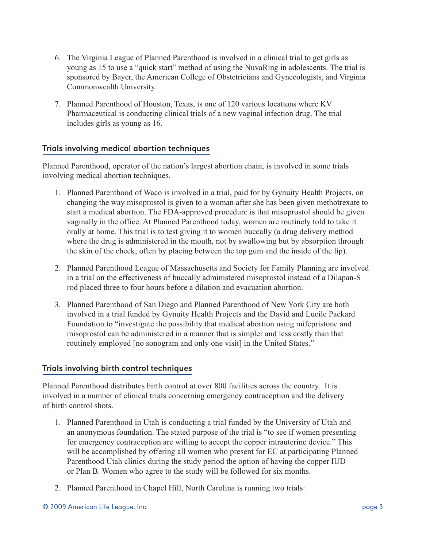- 6. The Virginia League of Planned Parenthood is involved in a clinical trial to get girls as young as 15 to use a "quick start" method of using the NuvaRing in adolescents. The trial is sponsored by Bayer, the American College of Obstetricians and Gynecologists, and Virginia Commonwealth University.
- 7. Planned Parenthood of Houston, Texas, is one of 120 various locations where KV Pharmaceutical is conducting clinical trials of a new vaginal infection drug. The trial includes girls as young as 16.

#### Trials involving medical abortion techniques

Planned Parenthood, operator of the nation's largest abortion chain, is involved in some trials involving medical abortion techniques.

- 1. Planned Parenthood of Waco is involved in a trial, paid for by Gynuity Health Projects, on changing the way misoprostol is given to a woman after she has been given methotrexate to start a medical abortion. The FDA-approved procedure is that misoprostol should be given vaginally in the office. At Planned Parenthood today, women are routinely told to take it orally at home. This trial is to test giving it to women buccally (a drug delivery method where the drug is administered in the mouth, not by swallowing but by absorption through the skin of the cheek; often by placing between the top gum and the inside of the lip).
- 2. Planned Parenthood League of Massachusetts and Society for Family Planning are involved in a trial on the effectiveness of buccally administered misoprostol instead of a Dilapan-S rod placed three to four hours before a dilation and evacuation abortion.
- 3. Planned Parenthood of San Diego and Planned Parenthood of New York City are both involved in a trial funded by Gynuity Health Projects and the David and Lucile Packard Foundation to "investigate the possibility that medical abortion using mifepristone and misoprostol can be administered in a manner that is simpler and less costly than that routinely employed [no sonogram and only one visit] in the United States."

#### Trials involving birth control techniques

Planned Parenthood distributes birth control at over 800 facilities across the country. It is involved in a number of clinical trials concerning emergency contraception and the delivery of birth control shots.

- 1. Planned Parenthood in Utah is conducting a trial funded by the University of Utah and an anonymous foundation. The stated purpose of the trial is "to see if women presenting for emergency contraception are willing to accept the copper intrauterine device." This will be accomplished by offering all women who present for EC at participating Planned Parenthood Utah clinics during the study period the option of having the copper IUD or Plan B. Women who agree to the study will be followed for six months.
- 2. Planned Parenthood in Chapel Hill, North Carolina is running two trials: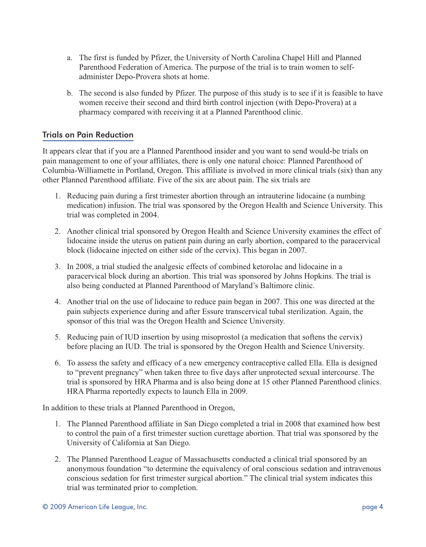- a. The first is funded by Pfizer, the University of North Carolina Chapel Hill and Planned Parenthood Federation of America. The purpose of the trial is to train women to selfadminister Depo-Provera shots at home.
- b. The second is also funded by Pfizer. The purpose of this study is to see if it is feasible to have women receive their second and third birth control injection (with Depo-Provera) at a pharmacy compared with receiving it at a Planned Parenthood clinic.

## Trials on Pain Reduction

It appears clear that if you are a Planned Parenthood insider and you want to send would-be trials on pain management to one of your affiliates, there is only one natural choice: Planned Parenthood of Columbia-Williamette in Portland, Oregon. This affiliate is involved in more clinical trials (six) than any other Planned Parenthood affiliate. Five of the six are about pain. The six trials are

- 1. Reducing pain during a first trimester abortion through an intrauterine lidocaine (a numbing medication) infusion. The trial was sponsored by the Oregon Health and Science University. This trial was completed in 2004.
- 2. Another clinical trial sponsored by Oregon Health and Science University examines the effect of lidocaine inside the uterus on patient pain during an early abortion, compared to the paracervical block (lidocaine injected on either side of the cervix). This began in 2007.
- 3. In 2008, a trial studied the analgesic effects of combined ketorolac and lidocaine in a paracervical block during an abortion. This trial was sponsored by Johns Hopkins. The trial is also being conducted at Planned Parenthood of Maryland's Baltimore clinic.
- 4. Another trial on the use of lidocaine to reduce pain began in 2007. This one was directed at the pain subjects experience during and after Essure transcervical tubal sterilization. Again, the sponsor of this trial was the Oregon Health and Science University.
- 5. Reducing pain of IUD insertion by using misoprostol (a medication that softens the cervix) before placing an IUD. The trial is sponsored by the Oregon Health and Science University.
- 6. To assess the safety and efficacy of a new emergency contraceptive called Ella. Ella is designed to "prevent pregnancy" when taken three to five days after unprotected sexual intercourse. The trial is sponsored by HRA Pharma and is also being done at 15 other Planned Parenthood clinics. HRA Pharma reportedly expects to launch Ella in 2009.

In addition to these trials at Planned Parenthood in Oregon,

- 1. The Planned Parenthood affiliate in San Diego completed a trial in 2008 that examined how best to control the pain of a first trimester suction curettage abortion. That trial was sponsored by the University of California at San Diego.
- 2. The Planned Parenthood League of Massachusetts conducted a clinical trial sponsored by an anonymous foundation "to determine the equivalency of oral conscious sedation and intravenous conscious sedation for first trimester surgical abortion." The clinical trial system indicates this trial was terminated prior to completion.